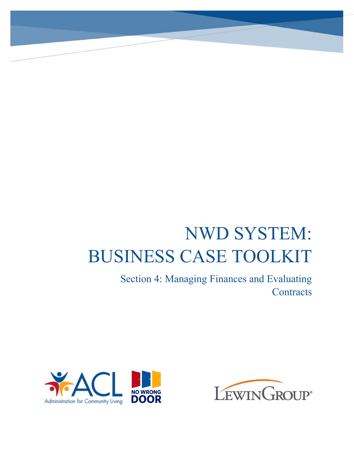# NWD SYSTEM: BUSINESS CASE TOOLKIT

Section 4: Managing Finances and Evaluating **Contracts** 



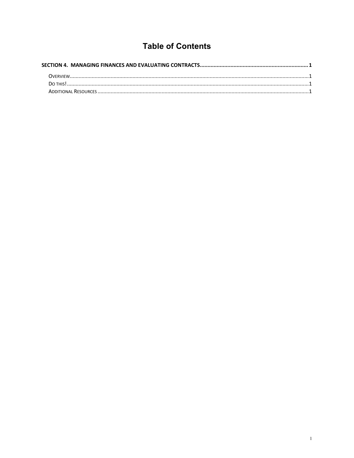## **Table of Contents**